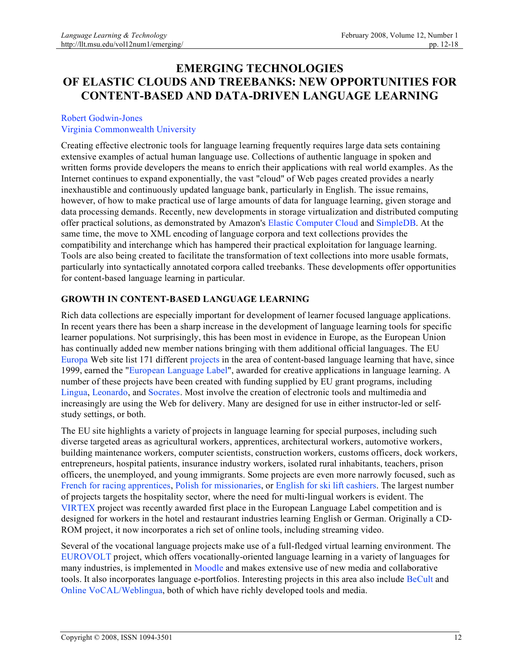# **EMERGING TECHNOLOGIES OF ELASTIC CLOUDS AND TREEBANKS: NEW OPPORTUNITIES FOR CONTENT-BASED AND DATA-DRIVEN LANGUAGE LEARNING**

#### Robert Godwin-Jones Virginia Commonwealth University

Creating effective electronic tools for language learning frequently requires large data sets containing extensive examples of actual human language use. Collections of authentic language in spoken and written forms provide developers the means to enrich their applications with real world examples. As the Internet continues to expand exponentially, the vast "cloud" of Web pages created provides a nearly inexhaustible and continuously updated language bank, particularly in English. The issue remains, however, of how to make practical use of large amounts of data for language learning, given storage and data processing demands. Recently, new developments in storage virtualization and distributed computing offer practical solutions, as demonstrated by Amazon's Elastic Computer Cloud and SimpleDB. At the same time, the move to XML encoding of language corpora and text collections provides the compatibility and interchange which has hampered their practical exploitation for language learning. Tools are also being created to facilitate the transformation of text collections into more usable formats, particularly into syntactically annotated corpora called treebanks. These developments offer opportunities for content-based language learning in particular.

## **GROWTH IN CONTENT-BASED LANGUAGE LEARNING**

Rich data collections are especially important for development of learner focused language applications. In recent years there has been a sharp increase in the development of language learning tools for specific learner populations. Not surprisingly, this has been most in evidence in Europe, as the European Union has continually added new member nations bringing with them additional official languages. The EU Europa Web site list 171 different projects in the area of content-based language learning that have, since 1999, earned the "European Language Label", awarded for creative applications in language learning. A number of these projects have been created with funding supplied by EU grant programs, including Lingua, Leonardo, and Socrates. Most involve the creation of electronic tools and multimedia and increasingly are using the Web for delivery. Many are designed for use in either instructor-led or selfstudy settings, or both.

The EU site highlights a variety of projects in language learning for special purposes, including such diverse targeted areas as agricultural workers, apprentices, architectural workers, automotive workers, building maintenance workers, computer scientists, construction workers, customs officers, dock workers, entrepreneurs, hospital patients, insurance industry workers, isolated rural inhabitants, teachers, prison officers, the unemployed, and young immigrants. Some projects are even more narrowly focused, such as French for racing apprentices, Polish for missionaries, or English for ski lift cashiers. The largest number of projects targets the hospitality sector, where the need for multi-lingual workers is evident. The VIRTEX project was recently awarded first place in the European Language Label competition and is designed for workers in the hotel and restaurant industries learning English or German. Originally a CD-ROM project, it now incorporates a rich set of online tools, including streaming video.

Several of the vocational language projects make use of a full-fledged virtual learning environment. The EUROVOLT project, which offers vocationally-oriented language learning in a variety of languages for many industries, is implemented in Moodle and makes extensive use of new media and collaborative tools. It also incorporates language e-portfolios. Interesting projects in this area also include BeCult and Online VoCAL/Weblingua, both of which have richly developed tools and media.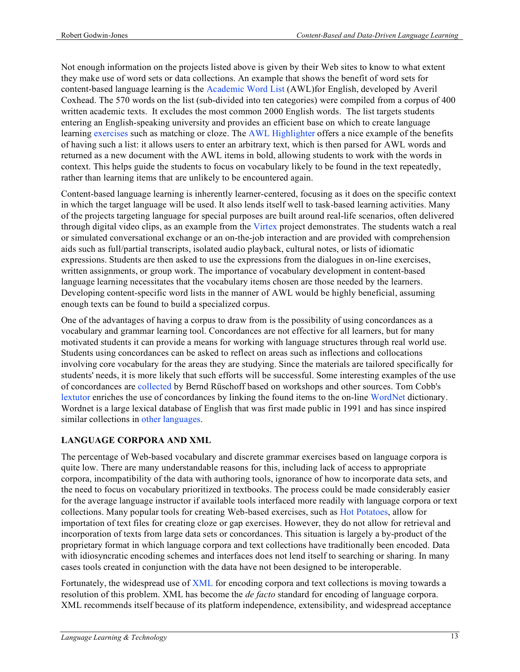Not enough information on the projects listed above is given by their Web sites to know to what extent they make use of word sets or data collections. An example that shows the benefit of word sets for content-based language learning is the Academic Word List (AWL)for English, developed by Averil Coxhead. The 570 words on the list (sub-divided into ten categories) were compiled from a corpus of 400 written academic texts. It excludes the most common 2000 English words. The list targets students entering an English-speaking university and provides an efficient base on which to create language learning exercises such as matching or cloze. The AWL Highlighter offers a nice example of the benefits of having such a list: it allows users to enter an arbitrary text, which is then parsed for AWL words and returned as a new document with the AWL items in bold, allowing students to work with the words in context. This helps guide the students to focus on vocabulary likely to be found in the text repeatedly, rather than learning items that are unlikely to be encountered again.

Content-based language learning is inherently learner-centered, focusing as it does on the specific context in which the target language will be used. It also lends itself well to task-based learning activities. Many of the projects targeting language for special purposes are built around real-life scenarios, often delivered through digital video clips, as an example from the Virtex project demonstrates. The students watch a real or simulated conversational exchange or an on-the-job interaction and are provided with comprehension aids such as full/partial transcripts, isolated audio playback, cultural notes, or lists of idiomatic expressions. Students are then asked to use the expressions from the dialogues in on-line exercises, written assignments, or group work. The importance of vocabulary development in content-based language learning necessitates that the vocabulary items chosen are those needed by the learners. Developing content-specific word lists in the manner of AWL would be highly beneficial, assuming enough texts can be found to build a specialized corpus.

One of the advantages of having a corpus to draw from is the possibility of using concordances as a vocabulary and grammar learning tool. Concordances are not effective for all learners, but for many motivated students it can provide a means for working with language structures through real world use. Students using concordances can be asked to reflect on areas such as inflections and collocations involving core vocabulary for the areas they are studying. Since the materials are tailored specifically for students' needs, it is more likely that such efforts will be successful. Some interesting examples of the use of concordances are collected by Bernd Rüschoff based on workshops and other sources. Tom Cobb's lextutor enriches the use of concordances by linking the found items to the on-line WordNet dictionary. Wordnet is a large lexical database of English that was first made public in 1991 and has since inspired similar collections in other languages.

# **LANGUAGE CORPORA AND XML**

The percentage of Web-based vocabulary and discrete grammar exercises based on language corpora is quite low. There are many understandable reasons for this, including lack of access to appropriate corpora, incompatibility of the data with authoring tools, ignorance of how to incorporate data sets, and the need to focus on vocabulary prioritized in textbooks. The process could be made considerably easier for the average language instructor if available tools interfaced more readily with language corpora or text collections. Many popular tools for creating Web-based exercises, such as Hot Potatoes, allow for importation of text files for creating cloze or gap exercises. However, they do not allow for retrieval and incorporation of texts from large data sets or concordances. This situation is largely a by-product of the proprietary format in which language corpora and text collections have traditionally been encoded. Data with idiosyncratic encoding schemes and interfaces does not lend itself to searching or sharing. In many cases tools created in conjunction with the data have not been designed to be interoperable.

Fortunately, the widespread use of XML for encoding corpora and text collections is moving towards a resolution of this problem. XML has become the *de facto* standard for encoding of language corpora. XML recommends itself because of its platform independence, extensibility, and widespread acceptance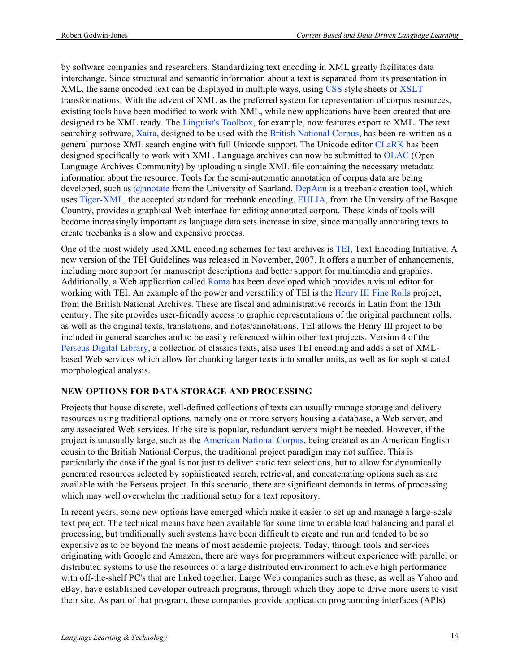by software companies and researchers. Standardizing text encoding in XML greatly facilitates data interchange. Since structural and semantic information about a text is separated from its presentation in XML, the same encoded text can be displayed in multiple ways, using CSS style sheets or XSLT transformations. With the advent of XML as the preferred system for representation of corpus resources, existing tools have been modified to work with XML, while new applications have been created that are designed to be XML ready. The Linguist's Toolbox, for example, now features export to XML. The text searching software, Xaira, designed to be used with the British National Corpus, has been re-written as a general purpose XML search engine with full Unicode support. The Unicode editor CLaRK has been designed specifically to work with XML. Language archives can now be submitted to OLAC (Open Language Archives Community) by uploading a single XML file containing the necessary metadata information about the resource. Tools for the semi-automatic annotation of corpus data are being developed, such as *@nnotate* from the University of Saarland. DepAnn is a treebank creation tool, which uses Tiger-XML, the accepted standard for treebank encoding. EULIA, from the University of the Basque Country, provides a graphical Web interface for editing annotated corpora. These kinds of tools will become increasingly important as language data sets increase in size, since manually annotating texts to create treebanks is a slow and expensive process.

One of the most widely used XML encoding schemes for text archives is TEI, Text Encoding Initiative. A new version of the TEI Guidelines was released in November, 2007. It offers a number of enhancements, including more support for manuscript descriptions and better support for multimedia and graphics. Additionally, a Web application called Roma has been developed which provides a visual editor for working with TEI. An example of the power and versatility of TEI is the Henry III Fine Rolls project, from the British National Archives. These are fiscal and administrative records in Latin from the 13th century. The site provides user-friendly access to graphic representations of the original parchment rolls, as well as the original texts, translations, and notes/annotations. TEI allows the Henry III project to be included in general searches and to be easily referenced within other text projects. Version 4 of the Perseus Digital Library, a collection of classics texts, also uses TEI encoding and adds a set of XMLbased Web services which allow for chunking larger texts into smaller units, as well as for sophisticated morphological analysis.

#### **NEW OPTIONS FOR DATA STORAGE AND PROCESSING**

Projects that house discrete, well-defined collections of texts can usually manage storage and delivery resources using traditional options, namely one or more servers housing a database, a Web server, and any associated Web services. If the site is popular, redundant servers might be needed. However, if the project is unusually large, such as the American National Corpus, being created as an American English cousin to the British National Corpus, the traditional project paradigm may not suffice. This is particularly the case if the goal is not just to deliver static text selections, but to allow for dynamically generated resources selected by sophisticated search, retrieval, and concatenating options such as are available with the Perseus project. In this scenario, there are significant demands in terms of processing which may well overwhelm the traditional setup for a text repository.

In recent years, some new options have emerged which make it easier to set up and manage a large-scale text project. The technical means have been available for some time to enable load balancing and parallel processing, but traditionally such systems have been difficult to create and run and tended to be so expensive as to be beyond the means of most academic projects. Today, through tools and services originating with Google and Amazon, there are ways for programmers without experience with parallel or distributed systems to use the resources of a large distributed environment to achieve high performance with off-the-shelf PC's that are linked together. Large Web companies such as these, as well as Yahoo and eBay, have established developer outreach programs, through which they hope to drive more users to visit their site. As part of that program, these companies provide application programming interfaces (APIs)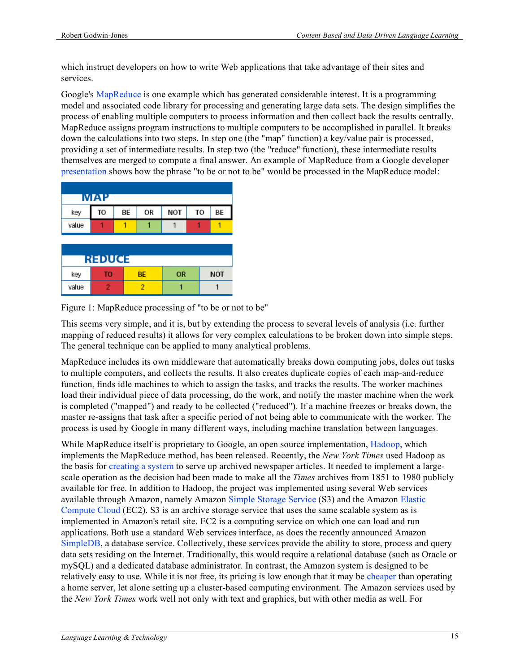which instruct developers on how to write Web applications that take advantage of their sites and services.

Google's MapReduce is one example which has generated considerable interest. It is a programming model and associated code library for processing and generating large data sets. The design simplifies the process of enabling multiple computers to process information and then collect back the results centrally. MapReduce assigns program instructions to multiple computers to be accomplished in parallel. It breaks down the calculations into two steps. In step one (the "map" function) a key/value pair is processed, providing a set of intermediate results. In step two (the "reduce" function), these intermediate results themselves are merged to compute a final answer. An example of MapReduce from a Google developer presentation shows how the phrase "to be or not to be" would be processed in the MapReduce model:

| <b>MAP</b> |    |    |           |     |    |            |
|------------|----|----|-----------|-----|----|------------|
| key        | TO | ВE | OR        | NOT | TO | ВE         |
| value      |    |    |           |     |    |            |
|            |    |    |           |     |    |            |
|            |    |    |           |     |    |            |
| REDUCE     |    |    |           |     |    |            |
| key        | то |    | <b>BE</b> | OR  |    | <b>NOT</b> |
| value      |    |    |           |     |    |            |

Figure 1: MapReduce processing of "to be or not to be"

This seems very simple, and it is, but by extending the process to several levels of analysis (i.e. further mapping of reduced results) it allows for very complex calculations to be broken down into simple steps. The general technique can be applied to many analytical problems.

MapReduce includes its own middleware that automatically breaks down computing jobs, doles out tasks to multiple computers, and collects the results. It also creates duplicate copies of each map-and-reduce function, finds idle machines to which to assign the tasks, and tracks the results. The worker machines load their individual piece of data processing, do the work, and notify the master machine when the work is completed ("mapped") and ready to be collected ("reduced"). If a machine freezes or breaks down, the master re-assigns that task after a specific period of not being able to communicate with the worker. The process is used by Google in many different ways, including machine translation between languages.

While MapReduce itself is proprietary to Google, an open source implementation, Hadoop, which implements the MapReduce method, has been released. Recently, the *New York Times* used Hadoop as the basis for creating a system to serve up archived newspaper articles. It needed to implement a largescale operation as the decision had been made to make all the *Times* archives from 1851 to 1980 publicly available for free. In addition to Hadoop, the project was implemented using several Web services available through Amazon, namely Amazon Simple Storage Service (S3) and the Amazon Elastic Compute Cloud (EC2). S3 is an archive storage service that uses the same scalable system as is implemented in Amazon's retail site. EC2 is a computing service on which one can load and run applications. Both use a standard Web services interface, as does the recently announced Amazon SimpleDB, a database service. Collectively, these services provide the ability to store, process and query data sets residing on the Internet. Traditionally, this would require a relational database (such as Oracle or mySQL) and a dedicated database administrator. In contrast, the Amazon system is designed to be relatively easy to use. While it is not free, its pricing is low enough that it may be cheaper than operating a home server, let alone setting up a cluster-based computing environment. The Amazon services used by the *New York Times* work well not only with text and graphics, but with other media as well. For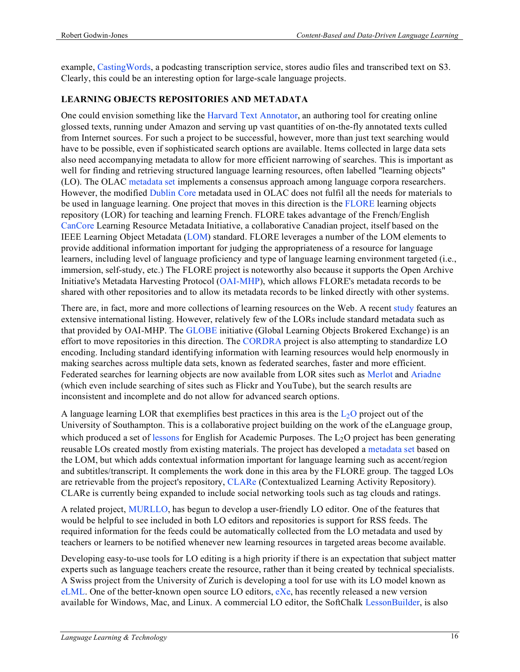example, CastingWords, a podcasting transcription service, stores audio files and transcribed text on S3. Clearly, this could be an interesting option for large-scale language projects.

#### **LEARNING OBJECTS REPOSITORIES AND METADATA**

One could envision something like the Harvard Text Annotator, an authoring tool for creating online glossed texts, running under Amazon and serving up vast quantities of on-the-fly annotated texts culled from Internet sources. For such a project to be successful, however, more than just text searching would have to be possible, even if sophisticated search options are available. Items collected in large data sets also need accompanying metadata to allow for more efficient narrowing of searches. This is important as well for finding and retrieving structured language learning resources, often labelled "learning objects" (LO). The OLAC metadata set implements a consensus approach among language corpora researchers. However, the modified Dublin Core metadata used in OLAC does not fulfil all the needs for materials to be used in language learning. One project that moves in this direction is the FLORE learning objects repository (LOR) for teaching and learning French. FLORE takes advantage of the French/English CanCore Learning Resource Metadata Initiative, a collaborative Canadian project, itself based on the IEEE Learning Object Metadata (LOM) standard. FLORE leverages a number of the LOM elements to provide additional information important for judging the appropriateness of a resource for language learners, including level of language proficiency and type of language learning environment targeted (i.e., immersion, self-study, etc.) The FLORE project is noteworthy also because it supports the Open Archive Initiative's Metadata Harvesting Protocol (OAI-MHP), which allows FLORE's metadata records to be shared with other repositories and to allow its metadata records to be linked directly with other systems.

There are, in fact, more and more collections of learning resources on the Web. A recent study features an extensive international listing. However, relatively few of the LORs include standard metadata such as that provided by OAI-MHP. The GLOBE initiative (Global Learning Objects Brokered Exchange) is an effort to move repositories in this direction. The CORDRA project is also attempting to standardize LO encoding. Including standard identifying information with learning resources would help enormously in making searches across multiple data sets, known as federated searches, faster and more efficient. Federated searches for learning objects are now available from LOR sites such as Merlot and Ariadne (which even include searching of sites such as Flickr and YouTube), but the search results are inconsistent and incomplete and do not allow for advanced search options.

A language learning LOR that exemplifies best practices in this area is the  $L_2O$  project out of the University of Southampton. This is a collaborative project building on the work of the eLanguage group, which produced a set of lessons for English for Academic Purposes. The  $L_2O$  project has been generating reusable LOs created mostly from existing materials. The project has developed a metadata set based on the LOM, but which adds contextual information important for language learning such as accent/region and subtitles/transcript. It complements the work done in this area by the FLORE group. The tagged LOs are retrievable from the project's repository, CLARe (Contextualized Learning Activity Repository). CLARe is currently being expanded to include social networking tools such as tag clouds and ratings.

A related project, MURLLO, has begun to develop a user-friendly LO editor. One of the features that would be helpful to see included in both LO editors and repositories is support for RSS feeds. The required information for the feeds could be automatically collected from the LO metadata and used by teachers or learners to be notified whenever new learning resources in targeted areas become available.

Developing easy-to-use tools for LO editing is a high priority if there is an expectation that subject matter experts such as language teachers create the resource, rather than it being created by technical specialists. A Swiss project from the University of Zurich is developing a tool for use with its LO model known as eLML. One of the better-known open source LO editors, eXe, has recently released a new version available for Windows, Mac, and Linux. A commercial LO editor, the SoftChalk LessonBuilder, is also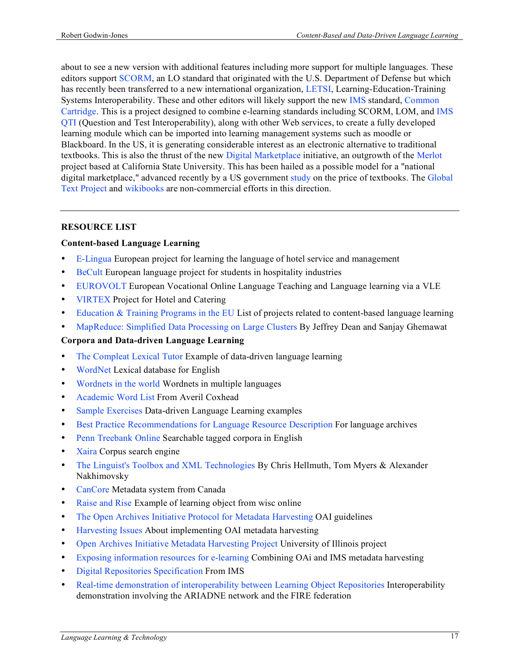about to see a new version with additional features including more support for multiple languages. These editors support SCORM, an LO standard that originated with the U.S. Department of Defense but which has recently been transferred to a new international organization, LETSI, Learning-Education-Training Systems Interoperability. These and other editors will likely support the new IMS standard, Common Cartridge. This is a project designed to combine e-learning standards including SCORM, LOM, and IMS QTI (Question and Test Interoperability), along with other Web services, to create a fully developed learning module which can be imported into learning management systems such as moodle or Blackboard. In the US, it is generating considerable interest as an electronic alternative to traditional textbooks. This is also the thrust of the new Digital Marketplace initiative, an outgrowth of the Merlot project based at California State University. This has been hailed as a possible model for a "national digital marketplace," advanced recently by a US government study on the price of textbooks. The Global Text Project and wikibooks are non-commercial efforts in this direction.

#### **RESOURCE LIST**

#### **Content-based Language Learning**

- E-Lingua European project for learning the language of hotel service and management
- BeCult European language project for students in hospitality industries
- EUROVOLT European Vocational Online Language Teaching and Language learning via a VLE
- VIRTEX Project for Hotel and Catering
- Education & Training Programs in the EU List of projects related to content-based language learning
- MapReduce: Simplified Data Processing on Large Clusters By Jeffrey Dean and Sanjay Ghemawat

#### **Corpora and Data-driven Language Learning**

- The Compleat Lexical Tutor Example of data-driven language learning
- WordNet Lexical database for English
- Wordnets in the world Wordnets in multiple languages
- Academic Word List From Averil Coxhead
- Sample Exercises Data-driven Language Learning examples
- Best Practice Recommendations for Language Resource Description For language archives
- Penn Treebank Online Searchable tagged corpora in English
- Xaira Corpus search engine
- The Linguist's Toolbox and XML Technologies By Chris Hellmuth, Tom Myers & Alexander Nakhimovsky
- CanCore Metadata system from Canada
- Raise and Rise Example of learning object from wisc online
- The Open Archives Initiative Protocol for Metadata Harvesting OAI guidelines
- Harvesting Issues About implementing OAI metadata harvesting
- Open Archives Initiative Metadata Harvesting Project University of Illinois project
- Exposing information resources for e-learning Combining OAi and IMS metadata harvesting
- Digital Repositories Specification From IMS
- Real-time demonstration of interoperability between Learning Object Repositories Interoperability demonstration involving the ARIADNE network and the FIRE federation